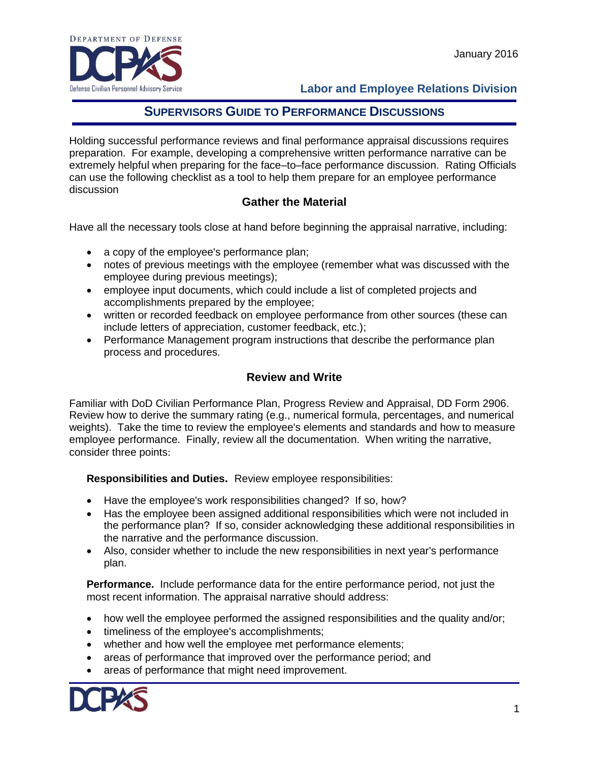

### **Labor and Employee Relations Division**

## **SUPERVISORS GUIDE TO PERFORMANCE DISCUSSIONS**

Holding successful performance reviews and final performance appraisal discussions requires preparation. For example, developing a comprehensive written performance narrative can be extremely helpful when preparing for the face–to–face performance discussion. Rating Officials can use the following checklist as a tool to help them prepare for an employee performance discussion

### **Gather the Material**

Have all the necessary tools close at hand before beginning the appraisal narrative, including:

- a copy of the employee's performance plan;
- notes of previous meetings with the employee (remember what was discussed with the employee during previous meetings);
- employee input documents, which could include a list of completed projects and accomplishments prepared by the employee;
- written or recorded feedback on employee performance from other sources (these can include letters of appreciation, customer feedback, etc.);
- Performance Management program instructions that describe the performance plan process and procedures.

## **Review and Write**

Familiar with DoD Civilian Performance Plan, Progress Review and Appraisal, DD Form 2906. Review how to derive the summary rating (e.g., numerical formula, percentages, and numerical weights). Take the time to review the employee's elements and standards and how to measure employee performance. Finally, review all the documentation. When writing the narrative, consider three points:

**Responsibilities and Duties.** Review employee responsibilities:

- Have the employee's work responsibilities changed? If so, how?
- Has the employee been assigned additional responsibilities which were not included in the performance plan? If so, consider acknowledging these additional responsibilities in the narrative and the performance discussion.
- Also, consider whether to include the new responsibilities in next year's performance plan.

**Performance.** Include performance data for the entire performance period, not just the most recent information. The appraisal narrative should address:

- how well the employee performed the assigned responsibilities and the quality and/or;
- timeliness of the employee's accomplishments;
- whether and how well the employee met performance elements;
- areas of performance that improved over the performance period; and
- areas of performance that might need improvement.